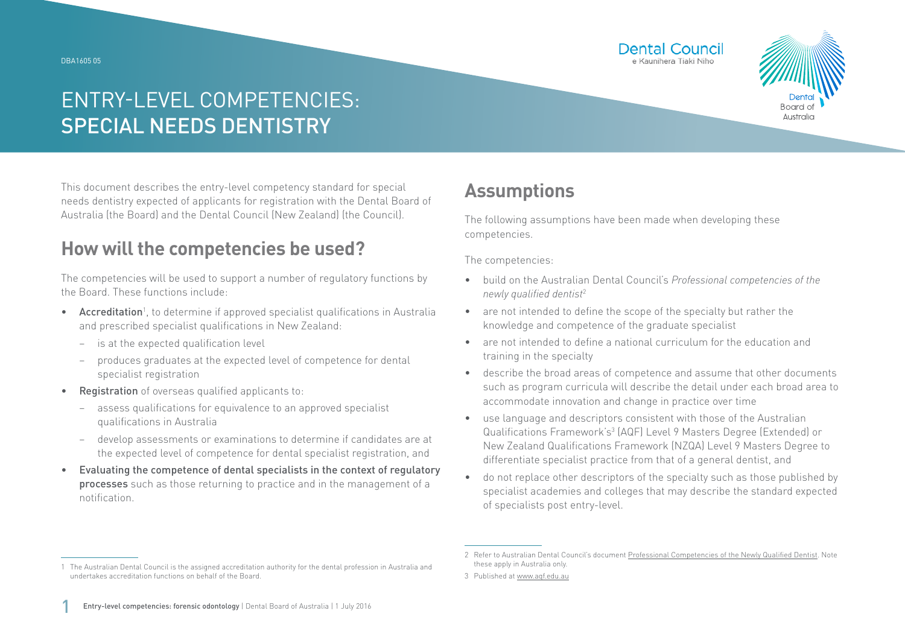#### DBA1605 05





# ENTRY-LEVEL COMPETENCIES: SPECIAL NEEDS DENTISTRY

This document describes the entry-level competency standard for special needs dentistry expected of applicants for registration with the Dental Board of Australia (the Board) and the Dental Council (New Zealand) (the Council).

### **How will the competencies be used?**

The competencies will be used to support a number of regulatory functions by the Board. These functions include:

- Accreditation<sup>1</sup>, to determine if approved specialist qualifications in Australia and prescribed specialist qualifications in New Zealand:
	- − is at the expected qualification level
	- − produces graduates at the expected level of competence for dental specialist registration
- Registration of overseas qualified applicants to:
	- assess qualifications for equivalence to an approved specialist qualifications in Australia
	- − develop assessments or examinations to determine if candidates are at the expected level of competence for dental specialist registration, and
- Evaluating the competence of dental specialists in the context of regulatory processes such as those returning to practice and in the management of a notification.

## **Assumptions**

The following assumptions have been made when developing these competencies.

The competencies:

- build on the Australian Dental Council's *Professional competencies of the newly qualified dentist*<sup>2</sup>
- are not intended to define the scope of the specialty but rather the knowledge and competence of the graduate specialist
- are not intended to define a national curriculum for the education and training in the specialty
- describe the broad areas of competence and assume that other documents such as program curricula will describe the detail under each broad area to accommodate innovation and change in practice over time
- use language and descriptors consistent with those of the Australian Qualifications Framework's<sup>3</sup> (AQF) Level 9 Masters Degree (Extended) or New Zealand Qualifications Framework (NZQA) Level 9 Masters Degree to differentiate specialist practice from that of a general dentist, and
- do not replace other descriptors of the specialty such as those published by specialist academies and colleges that may describe the standard expected of specialists post entry-level.

<sup>1</sup> The Australian Dental Council is the assigned accreditation authority for the dental profession in Australia and undertakes accreditation functions on behalf of the Board.

<sup>2</sup> Refer to Australian Dental Council's document [Professional Competencies of the Newly Qualified Dentist.](http://Professional Competencies of the Newly Qualified Dentist) Note these apply in Australia only.

<sup>3</sup> Published at [www.aqf.edu.au](http://www.aqf.edu.au)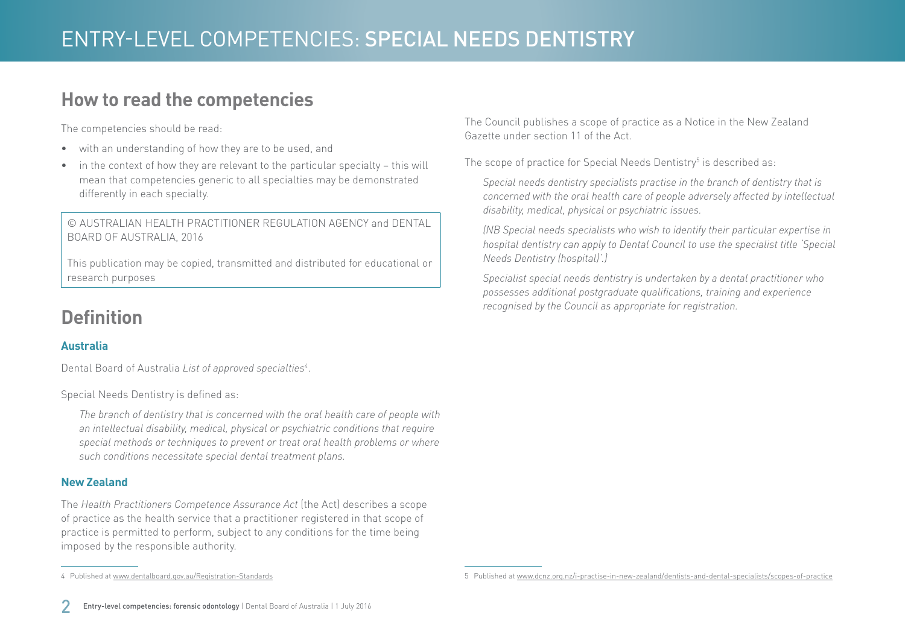### **How to read the competencies**

The competencies should be read:

- with an understanding of how they are to be used, and
- in the context of how they are relevant to the particular specialty this will mean that competencies generic to all specialties may be demonstrated differently in each specialty.

© AUSTRALIAN HEALTH PRACTITIONER REGULATION AGENCY and DENTAL BOARD OF AUSTRALIA, 2016

This publication may be copied, transmitted and distributed for educational or research purposes

## **Definition**

### **Australia**

Dental Board of Australia *List of approved specialties*<sup>4</sup> .

Special Needs Dentistry is defined as:

*The branch of dentistry that is concerned with the oral health care of people with an intellectual disability, medical, physical or psychiatric conditions that require special methods or techniques to prevent or treat oral health problems or where such conditions necessitate special dental treatment plans.*

#### **New Zealand**

The *Health Practitioners Competence Assurance Act* (the Act) describes a scope of practice as the health service that a practitioner registered in that scope of practice is permitted to perform, subject to any conditions for the time being imposed by the responsible authority.

The Council publishes a scope of practice as a Notice in the New Zealand Gazette under section 11 of the Act.

The scope of practice for Special Needs Dentistry $^5$  is described as:

*Special needs dentistry specialists practise in the branch of dentistry that is concerned with the oral health care of people adversely affected by intellectual disability, medical, physical or psychiatric issues.* 

*(NB Special needs specialists who wish to identify their particular expertise in hospital dentistry can apply to Dental Council to use the specialist title 'Special Needs Dentistry (hospital)'.)*

*Specialist special needs dentistry is undertaken by a dental practitioner who possesses additional postgraduate qualifications, training and experience recognised by the Council as appropriate for registration.*

<sup>4</sup> Published at [www.dentalboard.gov.au/Registration-Standards](http://www.dentalboard.gov.au/Registration-Standards.aspx)

<sup>5</sup> Published at [www.dcnz.org.nz/i-practise-in-new-zealand/dentists-and-dental-specialists/scopes-of-practice](http://www.dcnz.org.nz/i-practise-in-new-zealand/dentists-and-dental-specialists/scopes-of-practice)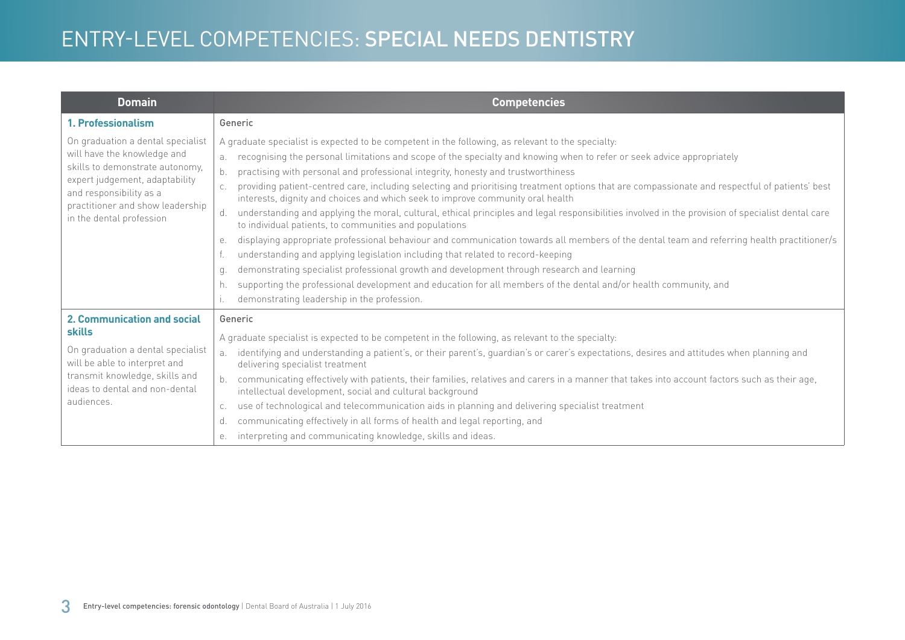# ENTRY-LEVEL COMPETENCIES: SPECIAL NEEDS DENTISTRY

| <b>Domain</b>                                                                                                                                                                                                                    | <b>Competencies</b>                                                                                                                                                                                                                                                                                                                                                                                                                                                                                                                                                                                                                                                                                                                                                                                                                                                                                                                                                                                                                                                                                                                                                                                                                                                                                |
|----------------------------------------------------------------------------------------------------------------------------------------------------------------------------------------------------------------------------------|----------------------------------------------------------------------------------------------------------------------------------------------------------------------------------------------------------------------------------------------------------------------------------------------------------------------------------------------------------------------------------------------------------------------------------------------------------------------------------------------------------------------------------------------------------------------------------------------------------------------------------------------------------------------------------------------------------------------------------------------------------------------------------------------------------------------------------------------------------------------------------------------------------------------------------------------------------------------------------------------------------------------------------------------------------------------------------------------------------------------------------------------------------------------------------------------------------------------------------------------------------------------------------------------------|
| 1. Professionalism                                                                                                                                                                                                               | Generic                                                                                                                                                                                                                                                                                                                                                                                                                                                                                                                                                                                                                                                                                                                                                                                                                                                                                                                                                                                                                                                                                                                                                                                                                                                                                            |
| On graduation a dental specialist<br>will have the knowledge and<br>skills to demonstrate autonomy,<br>expert judgement, adaptability<br>and responsibility as a<br>practitioner and show leadership<br>in the dental profession | A graduate specialist is expected to be competent in the following, as relevant to the specialty:<br>recognising the personal limitations and scope of the specialty and knowing when to refer or seek advice appropriately<br>a.<br>practising with personal and professional integrity, honesty and trustworthiness<br>providing patient-centred care, including selecting and prioritising treatment options that are compassionate and respectful of patients' best<br>interests, dignity and choices and which seek to improve community oral health<br>understanding and applying the moral, cultural, ethical principles and legal responsibilities involved in the provision of specialist dental care<br>d.<br>to individual patients, to communities and populations<br>displaying appropriate professional behaviour and communication towards all members of the dental team and referring health practitioner/s<br>е.<br>understanding and applying legislation including that related to record-keeping<br>demonstrating specialist professional growth and development through research and learning<br>q.<br>supporting the professional development and education for all members of the dental and/or health community, and<br>h.<br>demonstrating leadership in the profession. |
| <b>2. Communication and social</b><br>skills<br>On graduation a dental specialist<br>will be able to interpret and<br>transmit knowledge, skills and<br>ideas to dental and non-dental<br>audiences.                             | Generic<br>A graduate specialist is expected to be competent in the following, as relevant to the specialty:<br>identifying and understanding a patient's, or their parent's, guardian's or carer's expectations, desires and attitudes when planning and<br>a <sub>x</sub><br>delivering specialist treatment<br>communicating effectively with patients, their families, relatives and carers in a manner that takes into account factors such as their age,<br>b.<br>intellectual development, social and cultural background<br>use of technological and telecommunication aids in planning and delivering specialist treatment<br>C.<br>communicating effectively in all forms of health and legal reporting, and<br>d.<br>interpreting and communicating knowledge, skills and ideas.<br>е.                                                                                                                                                                                                                                                                                                                                                                                                                                                                                                  |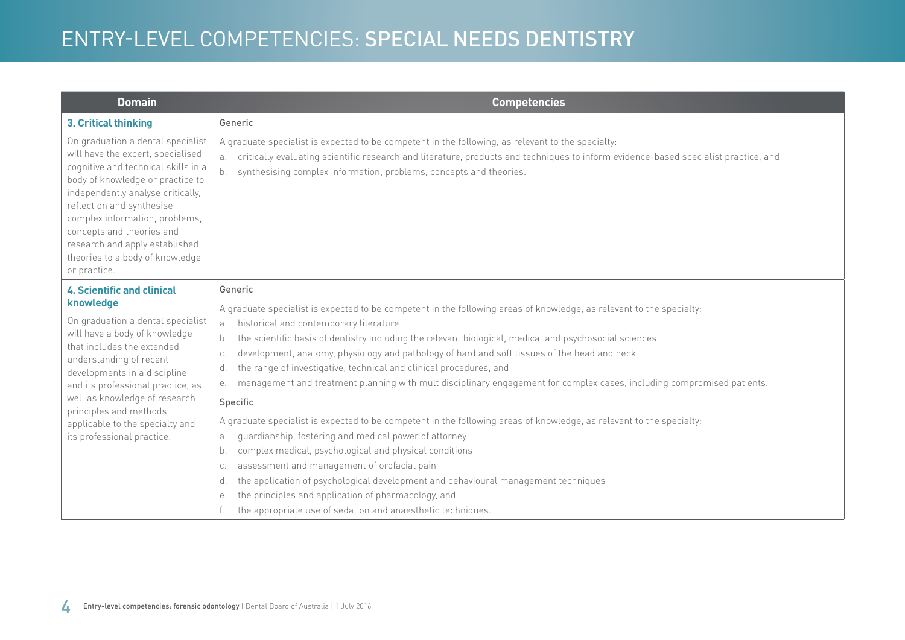# ENTRY-LEVEL COMPETENCIES: SPECIAL NEEDS DENTISTRY

| <b>Domain</b>                                                                                                                                                                                                                                                                                                                                                                  | <b>Competencies</b>                                                                                                                                                                                                                                                                                                                                                                                                                                                                                                                                                                                                                                                                                                                                                                                                                                                                                                                                                                                                                                                                                |
|--------------------------------------------------------------------------------------------------------------------------------------------------------------------------------------------------------------------------------------------------------------------------------------------------------------------------------------------------------------------------------|----------------------------------------------------------------------------------------------------------------------------------------------------------------------------------------------------------------------------------------------------------------------------------------------------------------------------------------------------------------------------------------------------------------------------------------------------------------------------------------------------------------------------------------------------------------------------------------------------------------------------------------------------------------------------------------------------------------------------------------------------------------------------------------------------------------------------------------------------------------------------------------------------------------------------------------------------------------------------------------------------------------------------------------------------------------------------------------------------|
| 3. Critical thinking                                                                                                                                                                                                                                                                                                                                                           | Generic                                                                                                                                                                                                                                                                                                                                                                                                                                                                                                                                                                                                                                                                                                                                                                                                                                                                                                                                                                                                                                                                                            |
| On graduation a dental specialist<br>will have the expert, specialised<br>cognitive and technical skills in a<br>body of knowledge or practice to<br>independently analyse critically,<br>reflect on and synthesise<br>complex information, problems,<br>concepts and theories and<br>research and apply established<br>theories to a body of knowledge<br>or practice.        | A graduate specialist is expected to be competent in the following, as relevant to the specialty:<br>critically evaluating scientific research and literature, products and techniques to inform evidence-based specialist practice, and<br>a.<br>synthesising complex information, problems, concepts and theories.<br>b.                                                                                                                                                                                                                                                                                                                                                                                                                                                                                                                                                                                                                                                                                                                                                                         |
| <b>4. Scientific and clinical</b><br>knowledge<br>On graduation a dental specialist<br>will have a body of knowledge<br>that includes the extended<br>understanding of recent<br>developments in a discipline<br>and its professional practice, as<br>well as knowledge of research<br>principles and methods<br>applicable to the specialty and<br>its professional practice. | Generic<br>A graduate specialist is expected to be competent in the following areas of knowledge, as relevant to the specialty:<br>historical and contemporary literature<br>a.<br>the scientific basis of dentistry including the relevant biological, medical and psychosocial sciences<br>b.<br>development, anatomy, physiology and pathology of hard and soft tissues of the head and neck<br>C.<br>the range of investigative, technical and clinical procedures, and<br>d.<br>management and treatment planning with multidisciplinary engagement for complex cases, including compromised patients.<br>е.<br>Specific<br>A graduate specialist is expected to be competent in the following areas of knowledge, as relevant to the specialty:<br>guardianship, fostering and medical power of attorney<br>a.<br>complex medical, psychological and physical conditions<br>b.<br>assessment and management of orofacial pain<br>C.<br>the application of psychological development and behavioural management techniques<br>d.<br>the principles and application of pharmacology, and<br>е. |
|                                                                                                                                                                                                                                                                                                                                                                                | the appropriate use of sedation and anaesthetic techniques.                                                                                                                                                                                                                                                                                                                                                                                                                                                                                                                                                                                                                                                                                                                                                                                                                                                                                                                                                                                                                                        |